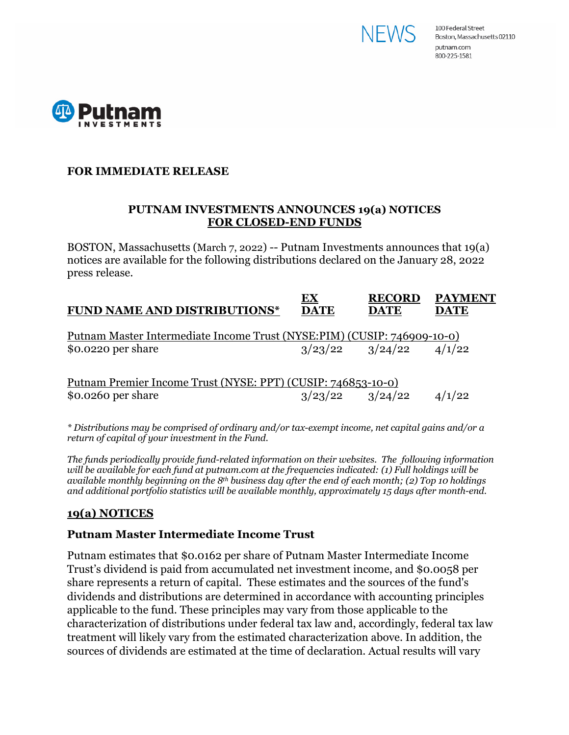



# **FOR IMMEDIATE RELEASE**

### **PUTNAM INVESTMENTS ANNOUNCES 19(a) NOTICES FOR CLOSED-END FUNDS**

BOSTON, Massachusetts (March 7, 2022) -- Putnam Investments announces that 19(a) notices are available for the following distributions declared on the January 28, 2022 press release.

|                                                                          | EX          | <b>RECORD</b> | <b>PAYMENT</b> |
|--------------------------------------------------------------------------|-------------|---------------|----------------|
| <b>FUND NAME AND DISTRIBUTIONS*</b>                                      | <b>DATE</b> | <b>DATE</b>   | <b>DATE</b>    |
|                                                                          |             |               |                |
| Putnam Master Intermediate Income Trust (NYSE: PIM) (CUSIP: 746909-10-0) |             |               |                |

Putnam Premier Income Trust (NYSE: PPT) (CUSIP: 746853-10-0) \$0.0260 per share  $\frac{3}{23/22}$   $\frac{3}{24/22}$   $\frac{4}{1/22}$ 

*\* Distributions may be comprised of ordinary and/or tax-exempt income, net capital gains and/or a return of capital of your investment in the Fund.*

*The funds periodically provide fund-related information on their websites. The following information will be available for each fund at putnam.com at the frequencies indicated: (1) Full holdings will be available monthly beginning on the 8th business day after the end of each month; (2) Top 10 holdings and additional portfolio statistics will be available monthly, approximately 15 days after month-end.*

# **19(a) NOTICES**

### **Putnam Master Intermediate Income Trust**

Putnam estimates that \$0.0162 per share of Putnam Master Intermediate Income Trust's dividend is paid from accumulated net investment income, and \$0.0058 per share represents a return of capital. These estimates and the sources of the fund's dividends and distributions are determined in accordance with accounting principles applicable to the fund. These principles may vary from those applicable to the characterization of distributions under federal tax law and, accordingly, federal tax law treatment will likely vary from the estimated characterization above. In addition, the sources of dividends are estimated at the time of declaration. Actual results will vary